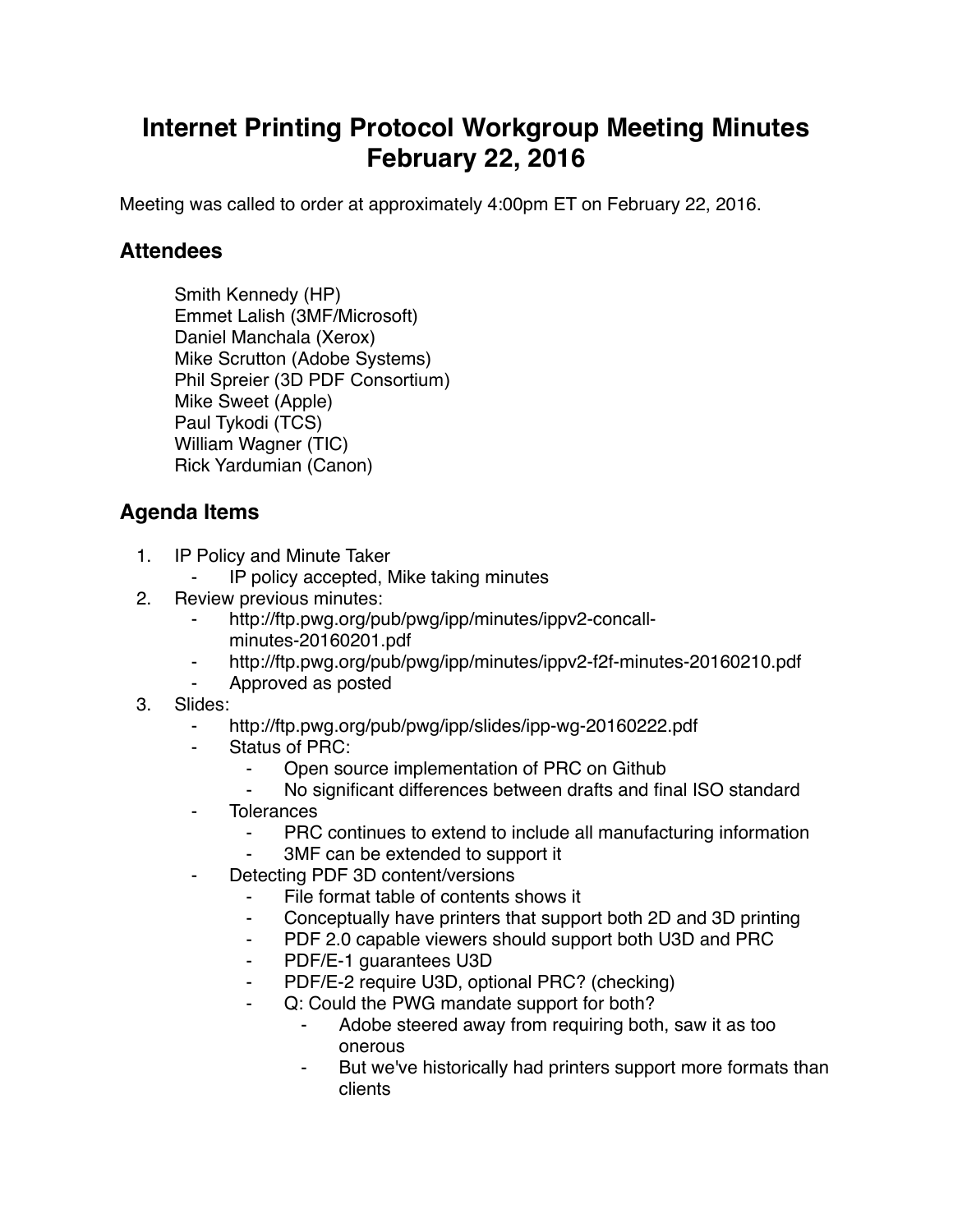## **Internet Printing Protocol Workgroup Meeting Minutes February 22, 2016**

Meeting was called to order at approximately 4:00pm ET on February 22, 2016.

## **Attendees**

Smith Kennedy (HP) Emmet Lalish (3MF/Microsoft) Daniel Manchala (Xerox) Mike Scrutton (Adobe Systems) Phil Spreier (3D PDF Consortium) Mike Sweet (Apple) Paul Tykodi (TCS) William Wagner (TIC) Rick Yardumian (Canon)

## **Agenda Items**

- 1. IP Policy and Minute Taker
	- IP policy accepted, Mike taking minutes
- 2. Review previous minutes:
	- http://ftp.pwg.org/pub/pwg/ipp/minutes/ippv2-concallminutes-20160201.pdf
	- http://ftp.pwg.org/pub/pwg/ipp/minutes/ippv2-f2f-minutes-20160210.pdf
	- ⁃ Approved as posted
- 3. Slides:
	- ⁃ http://ftp.pwg.org/pub/pwg/ipp/slides/ipp-wg-20160222.pdf
	- Status of PRC:
		- Open source implementation of PRC on Github
		- No significant differences between drafts and final ISO standard
	- ⁃ Tolerances
		- ⁃ PRC continues to extend to include all manufacturing information
		- 3MF can be extended to support it
	- Detecting PDF 3D content/versions
		- File format table of contents shows it
		- ⁃ Conceptually have printers that support both 2D and 3D printing
		- ⁃ PDF 2.0 capable viewers should support both U3D and PRC
		- PDF/E-1 quarantees U3D
		- PDF/E-2 require U3D, optional PRC? (checking)
		- Q: Could the PWG mandate support for both?
			- ⁃ Adobe steered away from requiring both, saw it as too onerous
			- But we've historically had printers support more formats than clients